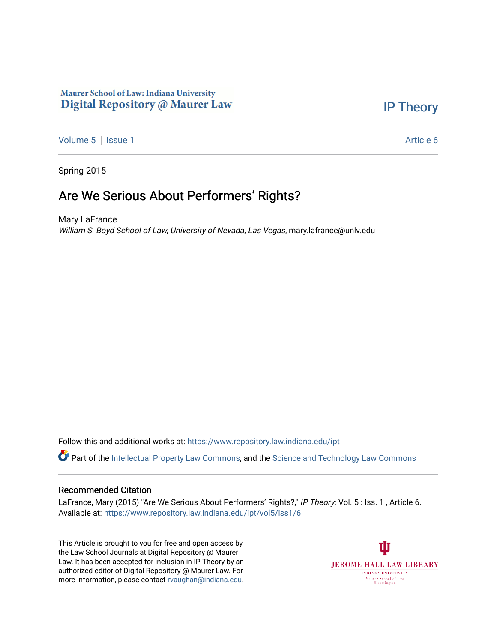## Maurer School of Law: Indiana University Digital Repository @ Maurer Law

[IP Theory](https://www.repository.law.indiana.edu/ipt) 

[Volume 5](https://www.repository.law.indiana.edu/ipt/vol5) | [Issue 1](https://www.repository.law.indiana.edu/ipt/vol5/iss1) Article 6

Spring 2015

## Are We Serious About Performers' Rights?

Mary LaFrance William S. Boyd School of Law, University of Nevada, Las Vegas, mary.lafrance@unlv.edu

Follow this and additional works at: [https://www.repository.law.indiana.edu/ipt](https://www.repository.law.indiana.edu/ipt?utm_source=www.repository.law.indiana.edu%2Fipt%2Fvol5%2Fiss1%2F6&utm_medium=PDF&utm_campaign=PDFCoverPages) 

Part of the [Intellectual Property Law Commons,](http://network.bepress.com/hgg/discipline/896?utm_source=www.repository.law.indiana.edu%2Fipt%2Fvol5%2Fiss1%2F6&utm_medium=PDF&utm_campaign=PDFCoverPages) and the [Science and Technology Law Commons](http://network.bepress.com/hgg/discipline/875?utm_source=www.repository.law.indiana.edu%2Fipt%2Fvol5%2Fiss1%2F6&utm_medium=PDF&utm_campaign=PDFCoverPages) 

#### Recommended Citation

LaFrance, Mary (2015) "Are We Serious About Performers' Rights?," IP Theory: Vol. 5 : Iss. 1, Article 6. Available at: [https://www.repository.law.indiana.edu/ipt/vol5/iss1/6](https://www.repository.law.indiana.edu/ipt/vol5/iss1/6?utm_source=www.repository.law.indiana.edu%2Fipt%2Fvol5%2Fiss1%2F6&utm_medium=PDF&utm_campaign=PDFCoverPages) 

This Article is brought to you for free and open access by the Law School Journals at Digital Repository @ Maurer Law. It has been accepted for inclusion in IP Theory by an authorized editor of Digital Repository @ Maurer Law. For more information, please contact [rvaughan@indiana.edu](mailto:rvaughan@indiana.edu).

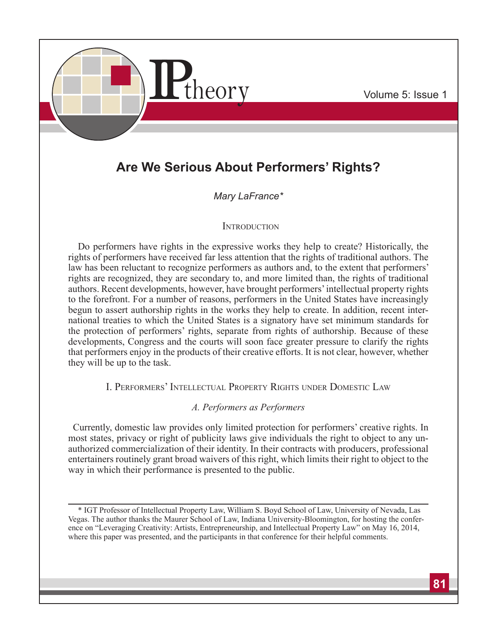

# **Are We Serious About Performers' Rights?**

## *Mary LaFrance\**

### **INTRODUCTION**

Do performers have rights in the expressive works they help to create? Historically, the rights of performers have received far less attention that the rights of traditional authors. The law has been reluctant to recognize performers as authors and, to the extent that performers' rights are recognized, they are secondary to, and more limited than, the rights of traditional authors. Recent developments, however, have brought performers' intellectual property rights to the forefront. For a number of reasons, performers in the United States have increasingly begun to assert authorship rights in the works they help to create. In addition, recent international treaties to which the United States is a signatory have set minimum standards for the protection of performers' rights, separate from rights of authorship. Because of these developments, Congress and the courts will soon face greater pressure to clarify the rights that performers enjoy in the products of their creative efforts. It is not clear, however, whether they will be up to the task.

I. Performers' Intellectual Property Rights under Domestic Law

## *A. Performers as Performers*

Currently, domestic law provides only limited protection for performers' creative rights. In most states, privacy or right of publicity laws give individuals the right to object to any unauthorized commercialization of their identity. In their contracts with producers, professional entertainers routinely grant broad waivers of this right, which limits their right to object to the way in which their performance is presented to the public.

<sup>\*</sup> IGT Professor of Intellectual Property Law, William S. Boyd School of Law, University of Nevada, Las Vegas. The author thanks the Maurer School of Law, Indiana University-Bloomington, for hosting the conference on "Leveraging Creativity: Artists, Entrepreneurship, and Intellectual Property Law" on May 16, 2014, where this paper was presented, and the participants in that conference for their helpful comments.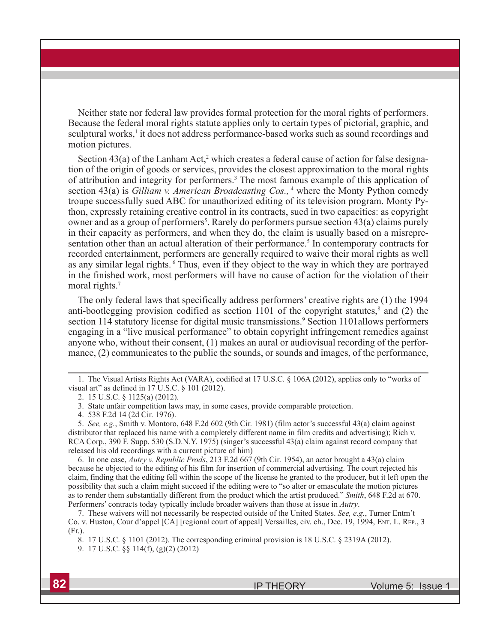Neither state nor federal law provides formal protection for the moral rights of performers. Because the federal moral rights statute applies only to certain types of pictorial, graphic, and sculptural works,<sup>1</sup> it does not address performance-based works such as sound recordings and motion pictures.

Section  $43(a)$  of the Lanham Act,<sup>2</sup> which creates a federal cause of action for false designation of the origin of goods or services, provides the closest approximation to the moral rights of attribution and integrity for performers.<sup>3</sup> The most famous example of this application of section 43(a) is *Gilliam v. American Broadcasting Cos.*, <sup>4</sup> where the Monty Python comedy troupe successfully sued ABC for unauthorized editing of its television program. Monty Python, expressly retaining creative control in its contracts, sued in two capacities: as copyright owner and as a group of performers<sup>5</sup>. Rarely do performers pursue section 43(a) claims purely in their capacity as performers, and when they do, the claim is usually based on a misrepresentation other than an actual alteration of their performance.<sup>5</sup> In contemporary contracts for recorded entertainment, performers are generally required to waive their moral rights as well as any similar legal rights. <sup>6</sup> Thus, even if they object to the way in which they are portrayed in the finished work, most performers will have no cause of action for the violation of their moral rights.<sup>7</sup>

The only federal laws that specifically address performers' creative rights are (1) the 1994 anti-bootlegging provision codified as section  $1101$  of the copyright statutes,<sup>8</sup> and (2) the section 114 statutory license for digital music transmissions.<sup>9</sup> Section 1101allows performers engaging in a "live musical performance" to obtain copyright infringement remedies against anyone who, without their consent, (1) makes an aural or audiovisual recording of the performance, (2) communicates to the public the sounds, or sounds and images, of the performance,

5. *See, e.g.*, Smith v. Montoro, 648 F.2d 602 (9th Cir. 1981) (film actor's successful 43(a) claim against distributor that replaced his name with a completely different name in film credits and advertising); Rich v. RCA Corp., 390 F. Supp. 530 (S.D.N.Y. 1975) (singer's successful 43(a) claim against record company that released his old recordings with a current picture of him)

6. In one case, *Autry v. Republic Prods*, 213 F.2d 667 (9th Cir. 1954), an actor brought a 43(a) claim because he objected to the editing of his film for insertion of commercial advertising. The court rejected his claim, finding that the editing fell within the scope of the license he granted to the producer, but it left open the possibility that such a claim might succeed if the editing were to "so alter or emasculate the motion pictures as to render them substantially different from the product which the artist produced." *Smith*, 648 F.2d at 670. Performers' contracts today typically include broader waivers than those at issue in *Autry*.

7. These waivers will not necessarily be respected outside of the United States. *See, e.g.*, Turner Entm't Co. v. Huston, Cour d'appel [CA] [regional court of appeal] Versailles, civ. ch., Dec. 19, 1994, Ent. L. Rep., 3 (Fr.).

8. 17 U.S.C. § 1101 (2012). The corresponding criminal provision is 18 U.S.C. § 2319A (2012).

9. 17 U.S.C. §§ 114(f), (g)(2) (2012)

<sup>1.</sup> The Visual Artists Rights Act (VARA), codified at 17 U.S.C. § 106A (2012), applies only to "works of visual art" as defined in 17 U.S.C. § 101 (2012).

<sup>2. 15</sup> U.S.C. § 1125(a) (2012).

<sup>3.</sup> State unfair competition laws may, in some cases, provide comparable protection.

<sup>4. 538</sup> F.2d 14 (2d Cir. 1976).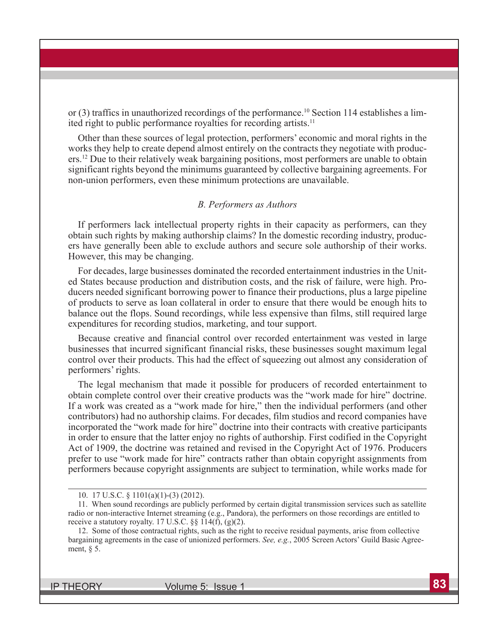or  $(3)$  traffics in unauthorized recordings of the performance.<sup>10</sup> Section 114 establishes a limited right to public performance royalties for recording artists.<sup>11</sup>

Other than these sources of legal protection, performers' economic and moral rights in the works they help to create depend almost entirely on the contracts they negotiate with producers.12 Due to their relatively weak bargaining positions, most performers are unable to obtain significant rights beyond the minimums guaranteed by collective bargaining agreements. For non-union performers, even these minimum protections are unavailable.

#### *B. Performers as Authors*

If performers lack intellectual property rights in their capacity as performers, can they obtain such rights by making authorship claims? In the domestic recording industry, producers have generally been able to exclude authors and secure sole authorship of their works. However, this may be changing.

For decades, large businesses dominated the recorded entertainment industries in the United States because production and distribution costs, and the risk of failure, were high. Producers needed significant borrowing power to finance their productions, plus a large pipeline of products to serve as loan collateral in order to ensure that there would be enough hits to balance out the flops. Sound recordings, while less expensive than films, still required large expenditures for recording studios, marketing, and tour support.

Because creative and financial control over recorded entertainment was vested in large businesses that incurred significant financial risks, these businesses sought maximum legal control over their products. This had the effect of squeezing out almost any consideration of performers' rights.

The legal mechanism that made it possible for producers of recorded entertainment to obtain complete control over their creative products was the "work made for hire" doctrine. If a work was created as a "work made for hire," then the individual performers (and other contributors) had no authorship claims. For decades, film studios and record companies have incorporated the "work made for hire" doctrine into their contracts with creative participants in order to ensure that the latter enjoy no rights of authorship. First codified in the Copyright Act of 1909, the doctrine was retained and revised in the Copyright Act of 1976. Producers prefer to use "work made for hire" contracts rather than obtain copyright assignments from performers because copyright assignments are subject to termination, while works made for

<sup>10. 17</sup> U.S.C. § 1101(a)(1)-(3) (2012).

<sup>11.</sup> When sound recordings are publicly performed by certain digital transmission services such as satellite radio or non-interactive Internet streaming (e.g., Pandora), the performers on those recordings are entitled to receive a statutory royalty. 17 U.S.C.  $\S$ § 114(f), (g)(2).

<sup>12.</sup> Some of those contractual rights, such as the right to receive residual payments, arise from collective bargaining agreements in the case of unionized performers. *See, e.g.*, 2005 Screen Actors' Guild Basic Agreement, § 5.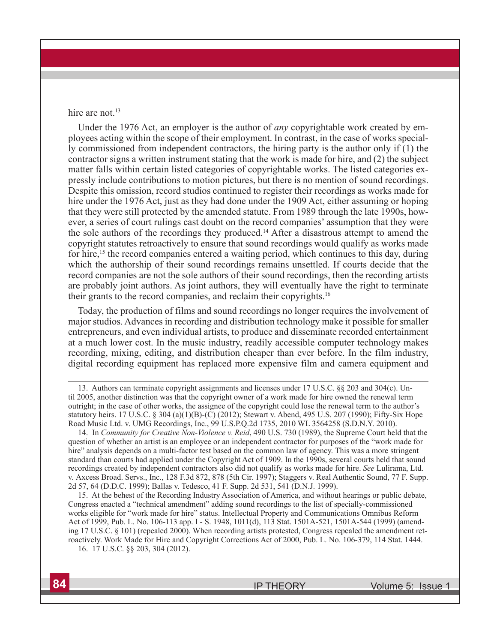hire are not.<sup>13</sup>

Under the 1976 Act, an employer is the author of *any* copyrightable work created by employees acting within the scope of their employment. In contrast, in the case of works specially commissioned from independent contractors, the hiring party is the author only if (1) the contractor signs a written instrument stating that the work is made for hire, and (2) the subject matter falls within certain listed categories of copyrightable works. The listed categories expressly include contributions to motion pictures, but there is no mention of sound recordings. Despite this omission, record studios continued to register their recordings as works made for hire under the 1976 Act, just as they had done under the 1909 Act, either assuming or hoping that they were still protected by the amended statute. From 1989 through the late 1990s, however, a series of court rulings cast doubt on the record companies' assumption that they were the sole authors of the recordings they produced.14 After a disastrous attempt to amend the copyright statutes retroactively to ensure that sound recordings would qualify as works made for hire,<sup>15</sup> the record companies entered a waiting period, which continues to this day, during which the authorship of their sound recordings remains unsettled. If courts decide that the record companies are not the sole authors of their sound recordings, then the recording artists are probably joint authors. As joint authors, they will eventually have the right to terminate their grants to the record companies, and reclaim their copyrights.16

Today, the production of films and sound recordings no longer requires the involvement of major studios. Advances in recording and distribution technology make it possible for smaller entrepreneurs, and even individual artists, to produce and disseminate recorded entertainment at a much lower cost. In the music industry, readily accessible computer technology makes recording, mixing, editing, and distribution cheaper than ever before. In the film industry, digital recording equipment has replaced more expensive film and camera equipment and

<sup>13.</sup> Authors can terminate copyright assignments and licenses under 17 U.S.C. §§ 203 and 304(c). Until 2005, another distinction was that the copyright owner of a work made for hire owned the renewal term outright; in the case of other works, the assignee of the copyright could lose the renewal term to the author's statutory heirs. 17 U.S.C. § 304 (a)(1)(B)-(C) (2012); Stewart v. Abend, 495 U.S. 207 (1990); Fifty-Six Hope Road Music Ltd. v. UMG Recordings, Inc., 99 U.S.P.Q.2d 1735, 2010 WL 3564258 (S.D.N.Y. 2010).

<sup>14.</sup> In *Community for Creative Non-Violence v. Reid*, 490 U.S. 730 (1989), the Supreme Court held that the question of whether an artist is an employee or an independent contractor for purposes of the "work made for hire" analysis depends on a multi-factor test based on the common law of agency. This was a more stringent standard than courts had applied under the Copyright Act of 1909. In the 1990s, several courts held that sound recordings created by independent contractors also did not qualify as works made for hire. *See* Lulirama, Ltd. v. Axcess Broad. Servs., Inc., 128 F.3d 872, 878 (5th Cir. 1997); Staggers v. Real Authentic Sound, 77 F. Supp. 2d 57, 64 (D.D.C. 1999); Ballas v. Tedesco, 41 F. Supp. 2d 531, 541 (D.N.J. 1999).

<sup>15.</sup> At the behest of the Recording Industry Association of America, and without hearings or public debate, Congress enacted a "technical amendment" adding sound recordings to the list of specially-commissioned works eligible for "work made for hire" status. Intellectual Property and Communications Omnibus Reform Act of 1999, Pub. L. No. 106-113 app. I - S. 1948, 1011(d), 113 Stat. 1501A-521, 1501A-544 (1999) (amending 17 U.S.C. § 101) (repealed 2000). When recording artists protested, Congress repealed the amendment retroactively. Work Made for Hire and Copyright Corrections Act of 2000, Pub. L. No. 106-379, 114 Stat. 1444. 16. 17 U.S.C. §§ 203, 304 (2012).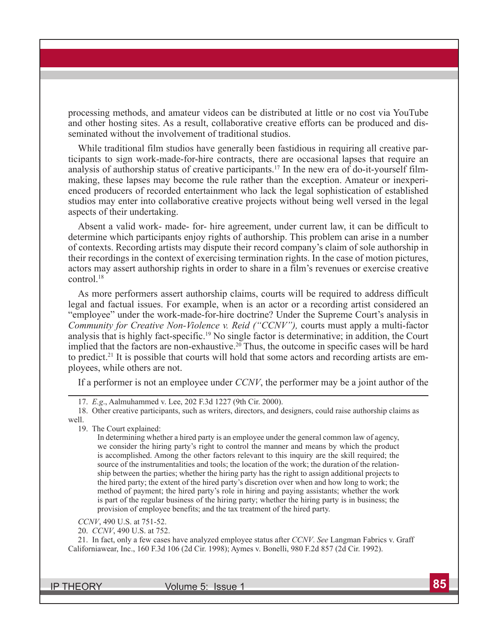processing methods, and amateur videos can be distributed at little or no cost via YouTube and other hosting sites. As a result, collaborative creative efforts can be produced and disseminated without the involvement of traditional studios.

While traditional film studios have generally been fastidious in requiring all creative participants to sign work-made-for-hire contracts, there are occasional lapses that require an analysis of authorship status of creative participants.17 In the new era of do-it-yourself filmmaking, these lapses may become the rule rather than the exception. Amateur or inexperienced producers of recorded entertainment who lack the legal sophistication of established studios may enter into collaborative creative projects without being well versed in the legal aspects of their undertaking.

Absent a valid work- made- for- hire agreement, under current law, it can be difficult to determine which participants enjoy rights of authorship. This problem can arise in a number of contexts. Recording artists may dispute their record company's claim of sole authorship in their recordings in the context of exercising termination rights. In the case of motion pictures, actors may assert authorship rights in order to share in a film's revenues or exercise creative control.18

As more performers assert authorship claims, courts will be required to address difficult legal and factual issues. For example, when is an actor or a recording artist considered an "employee" under the work-made-for-hire doctrine? Under the Supreme Court's analysis in *Community for Creative Non-Violence v. Reid ("CCNV"),* courts must apply a multi-factor analysis that is highly fact-specific.19 No single factor is determinative; in addition, the Court implied that the factors are non-exhaustive.<sup>20</sup> Thus, the outcome in specific cases will be hard to predict.21 It is possible that courts will hold that some actors and recording artists are employees, while others are not.

If a performer is not an employee under *CCNV*, the performer may be a joint author of the

17. *E.g*., Aalmuhammed v. Lee, 202 F.3d 1227 (9th Cir. 2000).

18. Other creative participants, such as writers, directors, and designers, could raise authorship claims as

well.

19. The Court explained:

In determining whether a hired party is an employee under the general common law of agency, we consider the hiring party's right to control the manner and means by which the product is accomplished. Among the other factors relevant to this inquiry are the skill required; the source of the instrumentalities and tools; the location of the work; the duration of the relationship between the parties; whether the hiring party has the right to assign additional projects to the hired party; the extent of the hired party's discretion over when and how long to work; the method of payment; the hired party's role in hiring and paying assistants; whether the work is part of the regular business of the hiring party; whether the hiring party is in business; the provision of employee benefits; and the tax treatment of the hired party.

*CCNV*, 490 U.S. at 751-52.

20. *CCNV*, 490 U.S. at 752.

21. In fact, only a few cases have analyzed employee status after *CCNV*. *See* Langman Fabrics v. Graff Californiawear, Inc., 160 F.3d 106 (2d Cir. 1998); Aymes v. Bonelli, 980 F.2d 857 (2d Cir. 1992).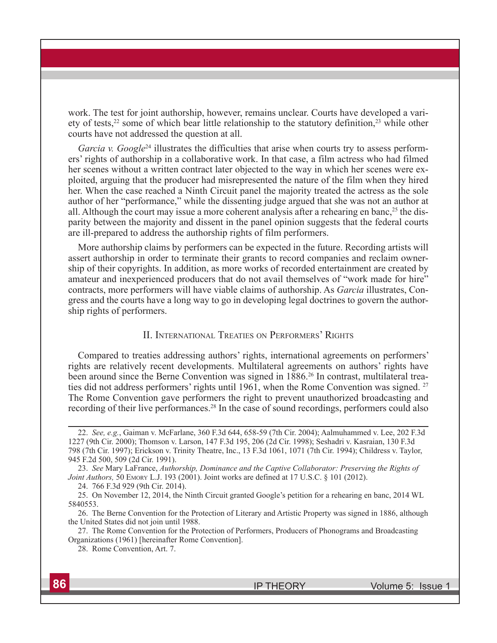work. The test for joint authorship, however, remains unclear. Courts have developed a variety of tests,<sup>22</sup> some of which bear little relationship to the statutory definition,<sup>23</sup> while other courts have not addressed the question at all.

*Garcia v. Google*<sup>24</sup> illustrates the difficulties that arise when courts try to assess performers' rights of authorship in a collaborative work. In that case, a film actress who had filmed her scenes without a written contract later objected to the way in which her scenes were exploited, arguing that the producer had misrepresented the nature of the film when they hired her. When the case reached a Ninth Circuit panel the majority treated the actress as the sole author of her "performance," while the dissenting judge argued that she was not an author at all. Although the court may issue a more coherent analysis after a rehearing en banc,<sup>25</sup> the disparity between the majority and dissent in the panel opinion suggests that the federal courts are ill-prepared to address the authorship rights of film performers.

More authorship claims by performers can be expected in the future. Recording artists will assert authorship in order to terminate their grants to record companies and reclaim ownership of their copyrights. In addition, as more works of recorded entertainment are created by amateur and inexperienced producers that do not avail themselves of "work made for hire" contracts, more performers will have viable claims of authorship. As *Garcia* illustrates, Congress and the courts have a long way to go in developing legal doctrines to govern the authorship rights of performers.

#### II. International Treaties on Performers' Rights

Compared to treaties addressing authors' rights, international agreements on performers' rights are relatively recent developments. Multilateral agreements on authors' rights have been around since the Berne Convention was signed in 1886.<sup>26</sup> In contrast, multilateral treaties did not address performers' rights until 1961, when the Rome Convention was signed. 27 The Rome Convention gave performers the right to prevent unauthorized broadcasting and recording of their live performances.<sup>28</sup> In the case of sound recordings, performers could also

<sup>22.</sup> *See, e.g.*, Gaiman v. McFarlane, 360 F.3d 644, 658-59 (7th Cir. 2004); Aalmuhammed v. Lee, 202 F.3d 1227 (9th Cir. 2000); Thomson v. Larson, 147 F.3d 195, 206 (2d Cir. 1998); Seshadri v. Kasraian, 130 F.3d 798 (7th Cir. 1997); Erickson v. Trinity Theatre, Inc., 13 F.3d 1061, 1071 (7th Cir. 1994); Childress v. Taylor, 945 F.2d 500, 509 (2d Cir. 1991).

<sup>23.</sup> *See* Mary LaFrance, *Authorship, Dominance and the Captive Collaborator: Preserving the Rights of Joint Authors,* 50 EMORY L.J. 193 (2001). Joint works are defined at 17 U.S.C. § 101 (2012).

<sup>24. 766</sup> F.3d 929 (9th Cir. 2014).

<sup>25.</sup> On November 12, 2014, the Ninth Circuit granted Google's petition for a rehearing en banc, 2014 WL 5840553.

<sup>26.</sup> The Berne Convention for the Protection of Literary and Artistic Property was signed in 1886, although the United States did not join until 1988.

<sup>27.</sup> The Rome Convention for the Protection of Performers, Producers of Phonograms and Broadcasting Organizations (1961) [hereinafter Rome Convention].

<sup>28.</sup> Rome Convention, Art. 7.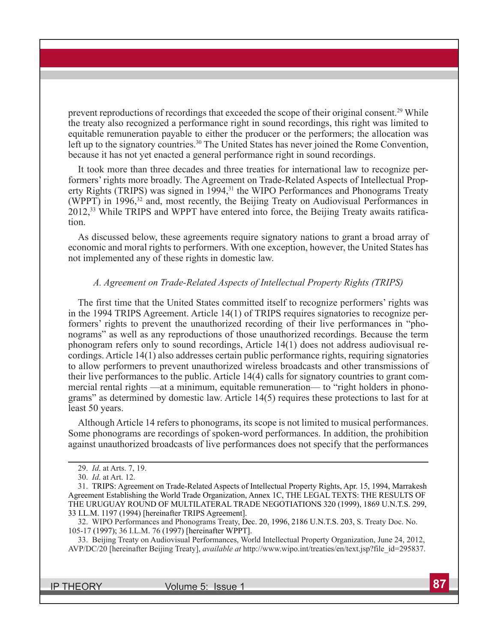prevent reproductions of recordings that exceeded the scope of their original consent.29 While the treaty also recognized a performance right in sound recordings, this right was limited to equitable remuneration payable to either the producer or the performers; the allocation was left up to the signatory countries.<sup>30</sup> The United States has never joined the Rome Convention, because it has not yet enacted a general performance right in sound recordings.

It took more than three decades and three treaties for international law to recognize performers' rights more broadly. The Agreement on Trade-Related Aspects of Intellectual Property Rights (TRIPS) was signed in 1994,<sup>31</sup> the WIPO Performances and Phonograms Treaty (WPPT) in 1996,<sup>32</sup> and, most recently, the Beijing Treaty on Audiovisual Performances in 2012,33 While TRIPS and WPPT have entered into force, the Beijing Treaty awaits ratification.

As discussed below, these agreements require signatory nations to grant a broad array of economic and moral rights to performers. With one exception, however, the United States has not implemented any of these rights in domestic law.

#### *A. Agreement on Trade-Related Aspects of Intellectual Property Rights (TRIPS)*

The first time that the United States committed itself to recognize performers' rights was in the 1994 TRIPS Agreement. Article 14(1) of TRIPS requires signatories to recognize performers' rights to prevent the unauthorized recording of their live performances in "phonograms" as well as any reproductions of those unauthorized recordings. Because the term phonogram refers only to sound recordings, Article 14(1) does not address audiovisual recordings. Article 14(1) also addresses certain public performance rights, requiring signatories to allow performers to prevent unauthorized wireless broadcasts and other transmissions of their live performances to the public. Article 14(4) calls for signatory countries to grant commercial rental rights —at a minimum, equitable remuneration— to "right holders in phonograms" as determined by domestic law. Article 14(5) requires these protections to last for at least 50 years.

Although Article 14 refers to phonograms, its scope is not limited to musical performances. Some phonograms are recordings of spoken-word performances. In addition, the prohibition against unauthorized broadcasts of live performances does not specify that the performances

<sup>29.</sup> *Id*. at Arts. 7, 19.

<sup>30.</sup> *Id*. at Art. 12.

<sup>31.</sup> TRIPS: Agreement on Trade-Related Aspects of Intellectual Property Rights, Apr. 15, 1994, Marrakesh Agreement Establishing the World Trade Organization, Annex 1C, THE LEGAL TEXTS: THE RESULTS OF THE URUGUAY ROUND OF MULTILATERAL TRADE NEGOTIATIONS 320 (1999), 1869 U.N.T.S. 299, 33 I.L.M. 1197 (1994) [hereinafter TRIPS Agreement].

<sup>32.</sup> WIPO Performances and Phonograms Treaty, Dec. 20, 1996, 2186 U.N.T.S. 203, S. Treaty Doc. No. 105-17 (1997); 36 I.L.M. 76 (1997) [hereinafter WPPT].

<sup>33.</sup> Beijing Treaty on Audiovisual Performances, World Intellectual Property Organization, June 24, 2012, AVP/DC/20 [hereinafter Beijing Treaty], *available at* http://www.wipo.int/treaties/en/text.jsp?file\_id=295837.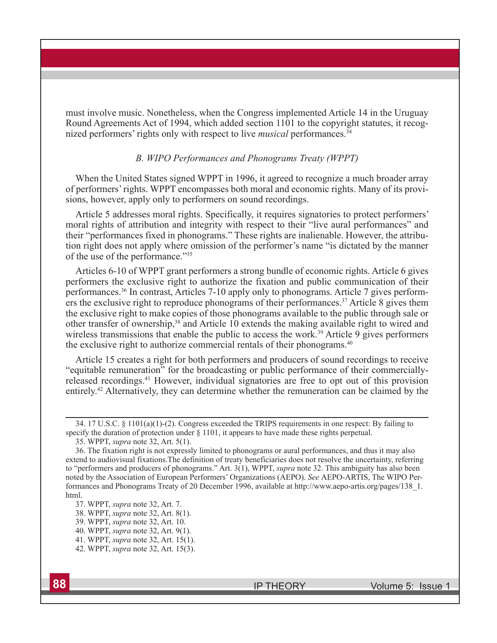must involve music. Nonetheless, when the Congress implemented Article 14 in the Uruguay Round Agreements Act of 1994, which added section 1101 to the copyright statutes, it recognized performers' rights only with respect to live *musical* performances.<sup>34</sup>

### *B. WIPO Performances and Phonograms Treaty (WPPT)*

When the United States signed WPPT in 1996, it agreed to recognize a much broader array of performers' rights. WPPT encompasses both moral and economic rights. Many of its provisions, however, apply only to performers on sound recordings.

Article 5 addresses moral rights. Specifically, it requires signatories to protect performers' moral rights of attribution and integrity with respect to their "live aural performances" and their "performances fixed in phonograms." These rights are inalienable. However, the attribution right does not apply where omission of the performer's name "is dictated by the manner of the use of the performance."35

Articles 6-10 of WPPT grant performers a strong bundle of economic rights. Article 6 gives performers the exclusive right to authorize the fixation and public communication of their performances.36 In contrast, Articles 7-10 apply only to phonograms. Article 7 gives performers the exclusive right to reproduce phonograms of their performances.<sup>37</sup> Article 8 gives them the exclusive right to make copies of those phonograms available to the public through sale or other transfer of ownership,<sup>38</sup> and Article 10 extends the making available right to wired and wireless transmissions that enable the public to access the work.<sup>39</sup> Article 9 gives performers the exclusive right to authorize commercial rentals of their phonograms.<sup>40</sup>

Article 15 creates a right for both performers and producers of sound recordings to receive "equitable remuneration" for the broadcasting or public performance of their commerciallyreleased recordings.41 However, individual signatories are free to opt out of this provision entirely.42 Alternatively, they can determine whether the remuneration can be claimed by the

<sup>34. 17</sup> U.S.C. § 1101(a)(1)-(2). Congress exceeded the TRIPS requirements in one respect: By failing to specify the duration of protection under § 1101, it appears to have made these rights perpetual.

<sup>35.</sup> WPPT, *supra* note 32, Art. 5(1).

<sup>36.</sup> The fixation right is not expressly limited to phonograms or aural performances, and thus it may also extend to audiovisual fixations.The definition of treaty beneficiaries does not resolve the uncertainty, referring to "performers and producers of phonograms." Art. 3(1), WPPT, *supra* note 32. This ambiguity has also been noted by the Association of European Performers' Organizations (AEPO). *See* AEPO-ARTIS, The WIPO Performances and Phonograms Treaty of 20 December 1996, available at http://www.aepo-artis.org/pages/138\_1. html.

<sup>37.</sup> WPPT, *supra* note 32, Art. 7.

<sup>38.</sup> WPPT, *supra* note 32, Art. 8(1).

<sup>39.</sup> WPPT, *supra* note 32, Art. 10.

<sup>40.</sup> WPPT, *supra* note 32, Art. 9(1).

<sup>41.</sup> WPPT, *supra* note 32, Art. 15(1).

<sup>42.</sup> WPPT, *supra* note 32, Art. 15(3).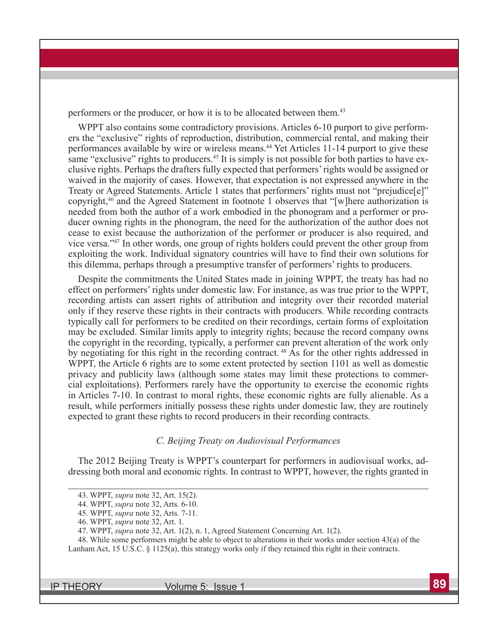performers or the producer, or how it is to be allocated between them.<sup>43</sup>

WPPT also contains some contradictory provisions. Articles 6-10 purport to give performers the "exclusive" rights of reproduction, distribution, commercial rental, and making their performances available by wire or wireless means.<sup>44</sup> Yet Articles 11-14 purport to give these same "exclusive" rights to producers.<sup>45</sup> It is simply is not possible for both parties to have exclusive rights. Perhaps the drafters fully expected that performers' rights would be assigned or waived in the majority of cases. However, that expectation is not expressed anywhere in the Treaty or Agreed Statements. Article 1 states that performers' rights must not "prejudice[e]" copyright,46 and the Agreed Statement in footnote 1 observes that "[w]here authorization is needed from both the author of a work embodied in the phonogram and a performer or producer owning rights in the phonogram, the need for the authorization of the author does not cease to exist because the authorization of the performer or producer is also required, and vice versa."47 In other words, one group of rights holders could prevent the other group from exploiting the work. Individual signatory countries will have to find their own solutions for this dilemma, perhaps through a presumptive transfer of performers' rights to producers.

Despite the commitments the United States made in joining WPPT, the treaty has had no effect on performers' rights under domestic law. For instance, as was true prior to the WPPT, recording artists can assert rights of attribution and integrity over their recorded material only if they reserve these rights in their contracts with producers. While recording contracts typically call for performers to be credited on their recordings, certain forms of exploitation may be excluded. Similar limits apply to integrity rights; because the record company owns the copyright in the recording, typically, a performer can prevent alteration of the work only by negotiating for this right in the recording contract. 48 As for the other rights addressed in WPPT, the Article 6 rights are to some extent protected by section 1101 as well as domestic privacy and publicity laws (although some states may limit these protections to commercial exploitations). Performers rarely have the opportunity to exercise the economic rights in Articles 7-10. In contrast to moral rights, these economic rights are fully alienable. As a result, while performers initially possess these rights under domestic law, they are routinely expected to grant these rights to record producers in their recording contracts.

#### *C. Beijing Treaty on Audiovisual Performances*

The 2012 Beijing Treaty is WPPT's counterpart for performers in audiovisual works, addressing both moral and economic rights. In contrast to WPPT, however, the rights granted in

<sup>43.</sup> WPPT, *supra* note 32, Art. 15(2).

<sup>44.</sup> WPPT, *supra* note 32, Arts. 6-10.

<sup>45.</sup> WPPT, *supra* note 32, Arts. 7-11.

<sup>46.</sup> WPPT, *supra* note 32, Art. 1.

<sup>47.</sup> WPPT, *supra* note 32, Art. 1(2), n. 1, Agreed Statement Concerning Art. 1(2).

<sup>48.</sup> While some performers might be able to object to alterations in their works under section 43(a) of the Lanham Act, 15 U.S.C. § 1125(a), this strategy works only if they retained this right in their contracts.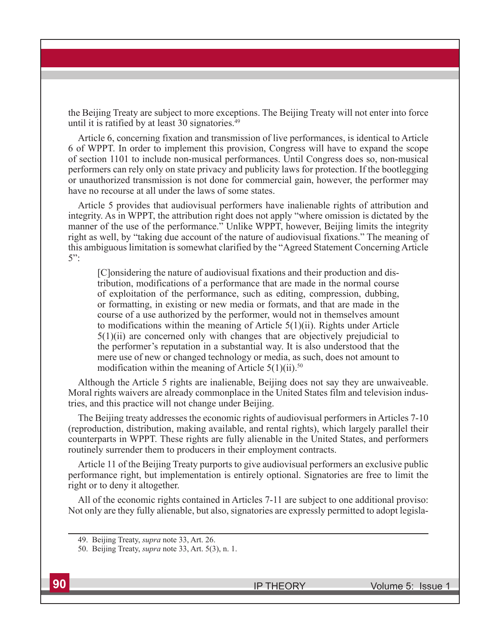the Beijing Treaty are subject to more exceptions. The Beijing Treaty will not enter into force until it is ratified by at least 30 signatories.<sup>49</sup>

Article 6, concerning fixation and transmission of live performances, is identical to Article 6 of WPPT. In order to implement this provision, Congress will have to expand the scope of section 1101 to include non-musical performances. Until Congress does so, non-musical performers can rely only on state privacy and publicity laws for protection. If the bootlegging or unauthorized transmission is not done for commercial gain, however, the performer may have no recourse at all under the laws of some states.

Article 5 provides that audiovisual performers have inalienable rights of attribution and integrity. As in WPPT, the attribution right does not apply "where omission is dictated by the manner of the use of the performance." Unlike WPPT, however, Beijing limits the integrity right as well, by "taking due account of the nature of audiovisual fixations." The meaning of this ambiguous limitation is somewhat clarified by the "Agreed Statement Concerning Article 5":

[C]onsidering the nature of audiovisual fixations and their production and distribution, modifications of a performance that are made in the normal course of exploitation of the performance, such as editing, compression, dubbing, or formatting, in existing or new media or formats, and that are made in the course of a use authorized by the performer, would not in themselves amount to modifications within the meaning of Article 5(1)(ii). Rights under Article 5(1)(ii) are concerned only with changes that are objectively prejudicial to the performer's reputation in a substantial way. It is also understood that the mere use of new or changed technology or media, as such, does not amount to modification within the meaning of Article  $5(1)(ii)$ .<sup>50</sup>

Although the Article 5 rights are inalienable, Beijing does not say they are unwaiveable. Moral rights waivers are already commonplace in the United States film and television industries, and this practice will not change under Beijing.

The Beijing treaty addresses the economic rights of audiovisual performers in Articles 7-10 (reproduction, distribution, making available, and rental rights), which largely parallel their counterparts in WPPT. These rights are fully alienable in the United States, and performers routinely surrender them to producers in their employment contracts.

Article 11 of the Beijing Treaty purports to give audiovisual performers an exclusive public performance right, but implementation is entirely optional. Signatories are free to limit the right or to deny it altogether.

All of the economic rights contained in Articles 7-11 are subject to one additional proviso: Not only are they fully alienable, but also, signatories are expressly permitted to adopt legisla-

<sup>49.</sup> Beijing Treaty, *supra* note 33, Art. 26.

<sup>50.</sup> Beijing Treaty, *supra* note 33, Art. 5(3), n. 1.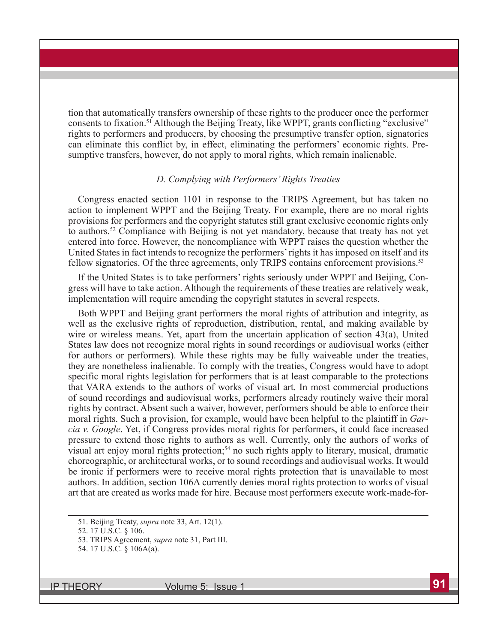tion that automatically transfers ownership of these rights to the producer once the performer consents to fixation.51 Although the Beijing Treaty, like WPPT, grants conflicting "exclusive" rights to performers and producers, by choosing the presumptive transfer option, signatories can eliminate this conflict by, in effect, eliminating the performers' economic rights. Presumptive transfers, however, do not apply to moral rights, which remain inalienable.

#### *D. Complying with Performers' Rights Treaties*

Congress enacted section 1101 in response to the TRIPS Agreement, but has taken no action to implement WPPT and the Beijing Treaty. For example, there are no moral rights provisions for performers and the copyright statutes still grant exclusive economic rights only to authors.<sup>52</sup> Compliance with Beijing is not yet mandatory, because that treaty has not yet entered into force. However, the noncompliance with WPPT raises the question whether the United States in fact intends to recognize the performers' rights it has imposed on itself and its fellow signatories. Of the three agreements, only TRIPS contains enforcement provisions.<sup>53</sup>

If the United States is to take performers' rights seriously under WPPT and Beijing, Congress will have to take action. Although the requirements of these treaties are relatively weak, implementation will require amending the copyright statutes in several respects.

Both WPPT and Beijing grant performers the moral rights of attribution and integrity, as well as the exclusive rights of reproduction, distribution, rental, and making available by wire or wireless means. Yet, apart from the uncertain application of section 43(a), United States law does not recognize moral rights in sound recordings or audiovisual works (either for authors or performers). While these rights may be fully waiveable under the treaties, they are nonetheless inalienable. To comply with the treaties, Congress would have to adopt specific moral rights legislation for performers that is at least comparable to the protections that VARA extends to the authors of works of visual art. In most commercial productions of sound recordings and audiovisual works, performers already routinely waive their moral rights by contract. Absent such a waiver, however, performers should be able to enforce their moral rights. Such a provision, for example, would have been helpful to the plaintiff in *Garcia v. Google*. Yet, if Congress provides moral rights for performers, it could face increased pressure to extend those rights to authors as well. Currently, only the authors of works of visual art enjoy moral rights protection;<sup>54</sup> no such rights apply to literary, musical, dramatic choreographic, or architectural works, or to sound recordings and audiovisual works. It would be ironic if performers were to receive moral rights protection that is unavailable to most authors. In addition, section 106A currently denies moral rights protection to works of visual art that are created as works made for hire. Because most performers execute work-made-for-

<sup>51.</sup> Beijing Treaty, *supra* note 33, Art. 12(1).

<sup>52. 17</sup> U.S.C. § 106.

<sup>53.</sup> TRIPS Agreement, *supra* note 31, Part III.

<sup>54. 17</sup> U.S.C. § 106A(a).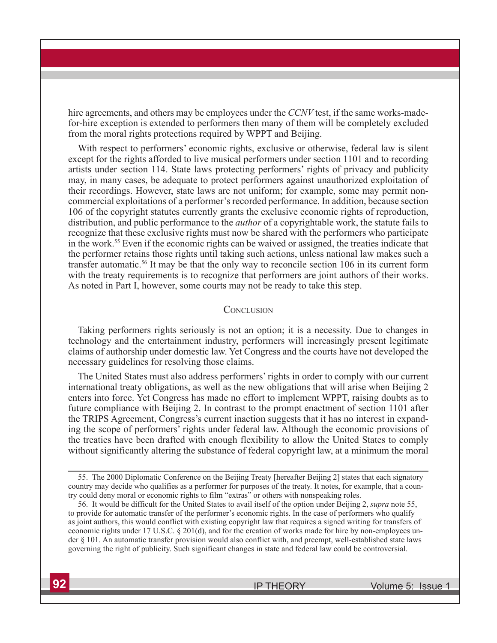hire agreements, and others may be employees under the *CCNV* test, if the same works-madefor-hire exception is extended to performers then many of them will be completely excluded from the moral rights protections required by WPPT and Beijing.

With respect to performers' economic rights, exclusive or otherwise, federal law is silent except for the rights afforded to live musical performers under section 1101 and to recording artists under section 114. State laws protecting performers' rights of privacy and publicity may, in many cases, be adequate to protect performers against unauthorized exploitation of their recordings. However, state laws are not uniform; for example, some may permit noncommercial exploitations of a performer's recorded performance. In addition, because section 106 of the copyright statutes currently grants the exclusive economic rights of reproduction, distribution, and public performance to the *author* of a copyrightable work, the statute fails to recognize that these exclusive rights must now be shared with the performers who participate in the work.55 Even if the economic rights can be waived or assigned, the treaties indicate that the performer retains those rights until taking such actions, unless national law makes such a transfer automatic.56 It may be that the only way to reconcile section 106 in its current form with the treaty requirements is to recognize that performers are joint authors of their works. As noted in Part I, however, some courts may not be ready to take this step.

#### **CONCLUSION**

Taking performers rights seriously is not an option; it is a necessity. Due to changes in technology and the entertainment industry, performers will increasingly present legitimate claims of authorship under domestic law. Yet Congress and the courts have not developed the necessary guidelines for resolving those claims.

The United States must also address performers' rights in order to comply with our current international treaty obligations, as well as the new obligations that will arise when Beijing 2 enters into force. Yet Congress has made no effort to implement WPPT, raising doubts as to future compliance with Beijing 2. In contrast to the prompt enactment of section 1101 after the TRIPS Agreement, Congress's current inaction suggests that it has no interest in expanding the scope of performers' rights under federal law. Although the economic provisions of the treaties have been drafted with enough flexibility to allow the United States to comply without significantly altering the substance of federal copyright law, at a minimum the moral

<sup>55.</sup> The 2000 Diplomatic Conference on the Beijing Treaty [hereafter Beijing 2] states that each signatory country may decide who qualifies as a performer for purposes of the treaty. It notes, for example, that a country could deny moral or economic rights to film "extras" or others with nonspeaking roles.

<sup>56.</sup> It would be difficult for the United States to avail itself of the option under Beijing 2, *supra* note 55, to provide for automatic transfer of the performer's economic rights. In the case of performers who qualify as joint authors, this would conflict with existing copyright law that requires a signed writing for transfers of economic rights under 17 U.S.C. § 201(d), and for the creation of works made for hire by non-employees under § 101. An automatic transfer provision would also conflict with, and preempt, well-established state laws governing the right of publicity. Such significant changes in state and federal law could be controversial.